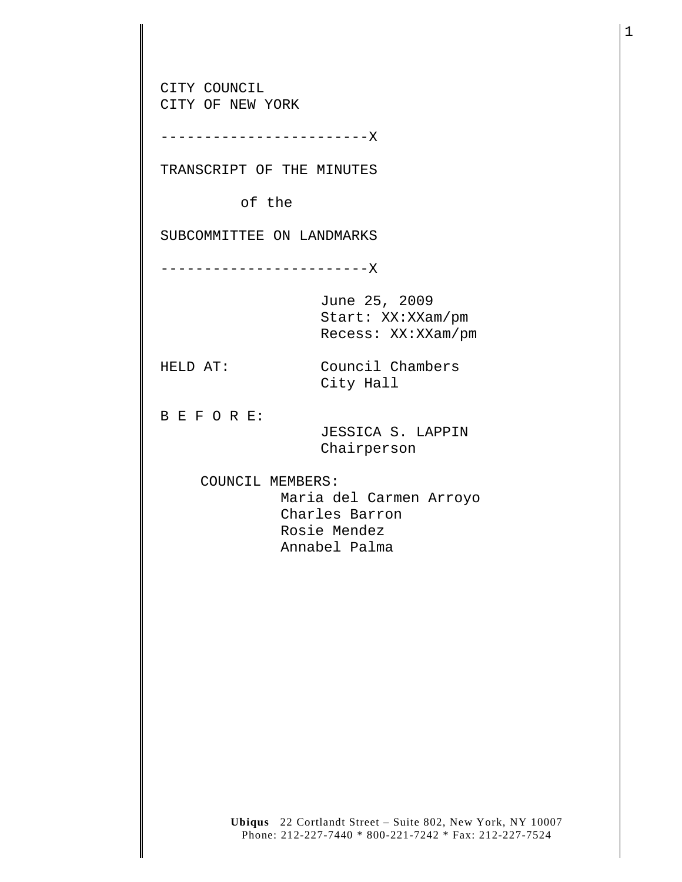CITY COUNCIL CITY OF NEW YORK ------------------------X TRANSCRIPT OF THE MINUTES of the SUBCOMMITTEE ON LANDMARKS ------------------------X June 25, 2009 Start: XX:XXam/pm Recess: XX:XXam/pm HELD AT: Council Chambers City Hall B E F O R E: JESSICA S. LAPPIN Chairperson COUNCIL MEMBERS: Maria del Carmen Arroyo Charles Barron Rosie Mendez Annabel Palma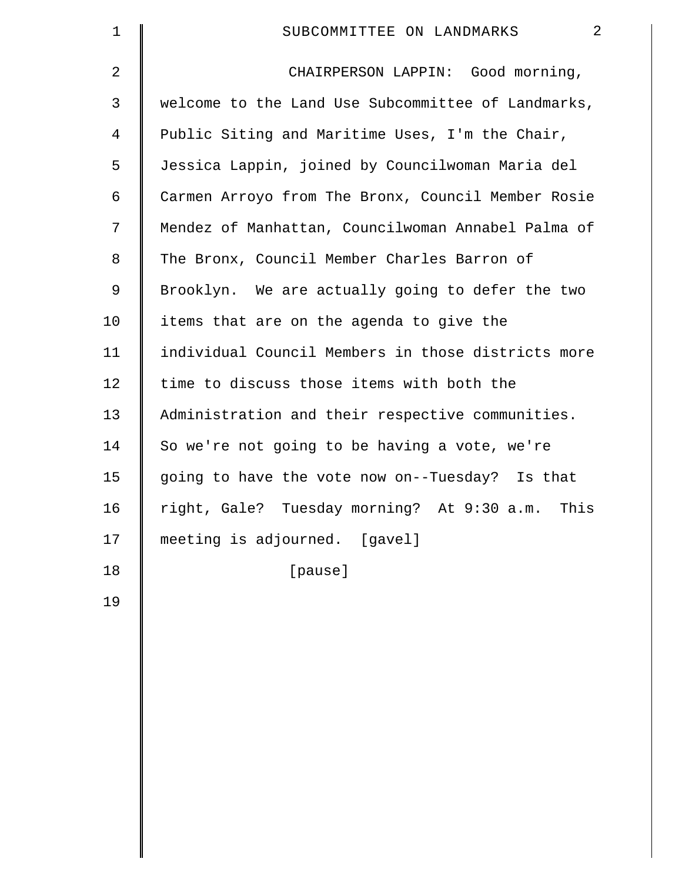| $\mathbf 1$    | $\overline{2}$<br>SUBCOMMITTEE ON LANDMARKS        |
|----------------|----------------------------------------------------|
| $\overline{2}$ | CHAIRPERSON LAPPIN: Good morning,                  |
| 3              | welcome to the Land Use Subcommittee of Landmarks, |
| $\overline{4}$ | Public Siting and Maritime Uses, I'm the Chair,    |
| 5              | Jessica Lappin, joined by Councilwoman Maria del   |
| 6              | Carmen Arroyo from The Bronx, Council Member Rosie |
| 7              | Mendez of Manhattan, Councilwoman Annabel Palma of |
| 8              | The Bronx, Council Member Charles Barron of        |
| 9              | Brooklyn. We are actually going to defer the two   |
| 10             | items that are on the agenda to give the           |
| 11             | individual Council Members in those districts more |
| 12             | time to discuss those items with both the          |
| 13             | Administration and their respective communities.   |
| 14             | So we're not going to be having a vote, we're      |
| 15             | going to have the vote now on--Tuesday? Is that    |
| 16             | right, Gale? Tuesday morning? At 9:30 a.m. This    |
| 17             | meeting is adjourned. [gavel]                      |
| 18             | [pause]                                            |
| 19             |                                                    |
|                |                                                    |
|                |                                                    |
|                |                                                    |
|                |                                                    |
|                |                                                    |
|                |                                                    |
|                |                                                    |
|                |                                                    |